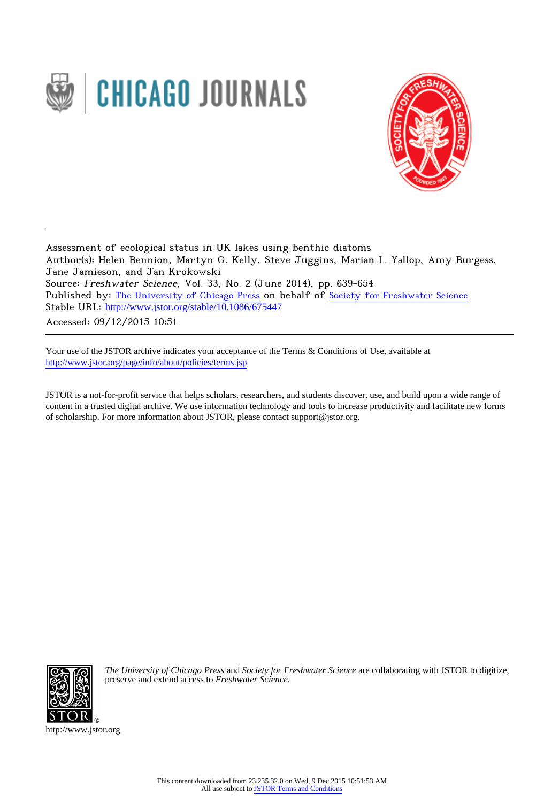



Assessment of ecological status in UK lakes using benthic diatoms Author(s): Helen Bennion, Martyn G. Kelly, Steve Juggins, Marian L. Yallop, Amy Burgess, Jane Jamieson, and Jan Krokowski Source: Freshwater Science, Vol. 33, No. 2 (June 2014), pp. 639-654 Published by: [The University of Chicago Press](http://www.jstor.org/action/showPublisher?publisherCode=ucpress) on behalf of [Society for Freshwater Science](http://www.jstor.org/action/showPublisher?publisherCode=nabs) Stable URL: http://www.jstor.org/stable/10.1086/675447

Accessed: 09/12/2015 10:51

Your use of the JSTOR archive indicates your acceptance of the Terms & Conditions of Use, available at <http://www.jstor.org/page/info/about/policies/terms.jsp>

JSTOR is a not-for-profit service that helps scholars, researchers, and students discover, use, and build upon a wide range of content in a trusted digital archive. We use information technology and tools to increase productivity and facilitate new forms of scholarship. For more information about JSTOR, please contact support@jstor.org.



*The University of Chicago Press* and *Society for Freshwater Science* are collaborating with JSTOR to digitize, preserve and extend access to *Freshwater Science.*

http://www.jstor.org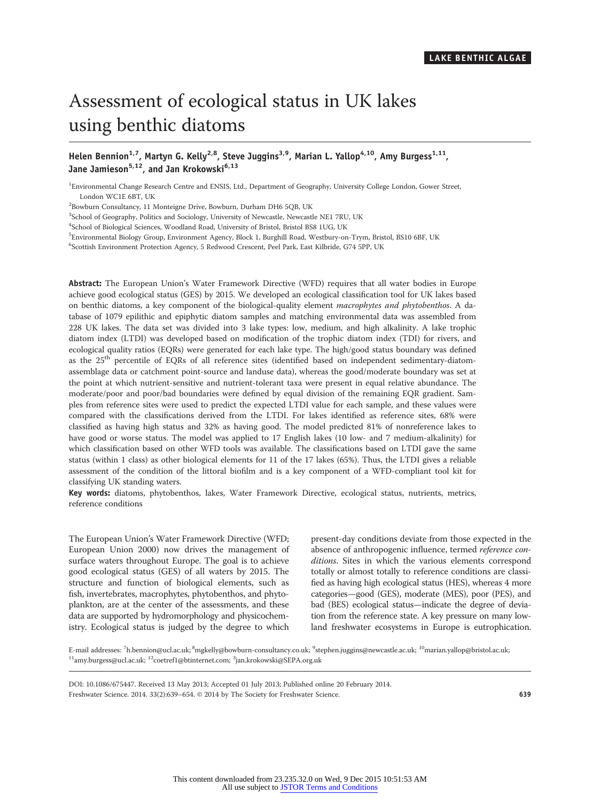# Assessment of ecological status in UK lakes using benthic diatoms

## Helen Bennion<sup>1,7</sup>, Martyn G. Kelly<sup>2,8</sup>, Steve Juggins<sup>3,9</sup>, Marian L. Yallop<sup>4,10</sup>, Amy Burgess<sup>1,11</sup>, Jane Jamieson<sup>5,12</sup>, and Jan Krokowski<sup>6,13</sup>

<sup>1</sup>Environmental Change Research Centre and ENSIS, Ltd., Department of Geography, University College London, Gower Street, London WC1E 6BT, UK

2 Bowburn Consultancy, 11 Monteigne Drive, Bowburn, Durham DH6 5QB, UK

<sup>3</sup>School of Geography, Politics and Sociology, University of Newcastle, Newcastle NE1 7RU, UK

4 School of Biological Sciences, Woodland Road, University of Bristol, Bristol BS8 1UG, UK

5 Environmental Biology Group, Environment Agency, Block 1, Burghill Road, Westbury-on-Trym, Bristol, BS10 6BF, UK

6 Scottish Environment Protection Agency, 5 Redwood Crescent, Peel Park, East Kilbride, G74 5PP, UK

Abstract: The European Union's Water Framework Directive (WFD) requires that all water bodies in Europe achieve good ecological status (GES) by 2015. We developed an ecological classification tool for UK lakes based on benthic diatoms, a key component of the biological-quality element macrophytes and phytobenthos. A database of 1079 epilithic and epiphytic diatom samples and matching environmental data was assembled from 228 UK lakes. The data set was divided into 3 lake types: low, medium, and high alkalinity. A lake trophic diatom index (LTDI) was developed based on modification of the trophic diatom index (TDI) for rivers, and ecological quality ratios (EQRs) were generated for each lake type. The high/good status boundary was defined as the 25<sup>th</sup> percentile of EQRs of all reference sites (identified based on independent sedimentary-diatomassemblage data or catchment point-source and landuse data), whereas the good/moderate boundary was set at the point at which nutrient-sensitive and nutrient-tolerant taxa were present in equal relative abundance. The moderate/poor and poor/bad boundaries were defined by equal division of the remaining EQR gradient. Samples from reference sites were used to predict the expected LTDI value for each sample, and these values were compared with the classifications derived from the LTDI. For lakes identified as reference sites, 68% were classified as having high status and 32% as having good. The model predicted 81% of nonreference lakes to have good or worse status. The model was applied to 17 English lakes (10 low- and 7 medium-alkalinity) for which classification based on other WFD tools was available. The classifications based on LTDI gave the same status (within 1 class) as other biological elements for 11 of the 17 lakes (65%). Thus, the LTDI gives a reliable assessment of the condition of the littoral biofilm and is a key component of a WFD-compliant tool kit for classifying UK standing waters.

Key words: diatoms, phytobenthos, lakes, Water Framework Directive, ecological status, nutrients, metrics, reference conditions

The European Union's Water Framework Directive (WFD; European Union 2000) now drives the management of surface waters throughout Europe. The goal is to achieve good ecological status (GES) of all waters by 2015. The structure and function of biological elements, such as fish, invertebrates, macrophytes, phytobenthos, and phytoplankton, are at the center of the assessments, and these data are supported by hydromorphology and physicochemistry. Ecological status is judged by the degree to which present-day conditions deviate from those expected in the absence of anthropogenic influence, termed reference conditions. Sites in which the various elements correspond totally or almost totally to reference conditions are classified as having high ecological status (HES), whereas 4 more categories—good (GES), moderate (MES), poor (PES), and bad (BES) ecological status—indicate the degree of deviation from the reference state. A key pressure on many lowland freshwater ecosystems in Europe is eutrophication.

E-mail addresses: <sup>7</sup>h.bennion@ucl.ac.uk; <sup>8</sup>mgkelly@bowburn-consultancy.co.uk; <sup>9</sup>stephen.juggins@newcastle.ac.uk; <sup>10</sup>marian.yallop@bristol.ac.uk;  $^{11}$ amy.burgess@ucl.ac.uk;  $^{12}$ coetref1@btinternet.com;  $^3$ jan.krokowski@SEPA.org.uk

DOI: 10.1086/675447. Received 13 May 2013; Accepted 01 July 2013; Published online 20 February 2014. Freshwater Science. 2014. 33(2):639–654. © 2014 by The Society for Freshwater Science. 639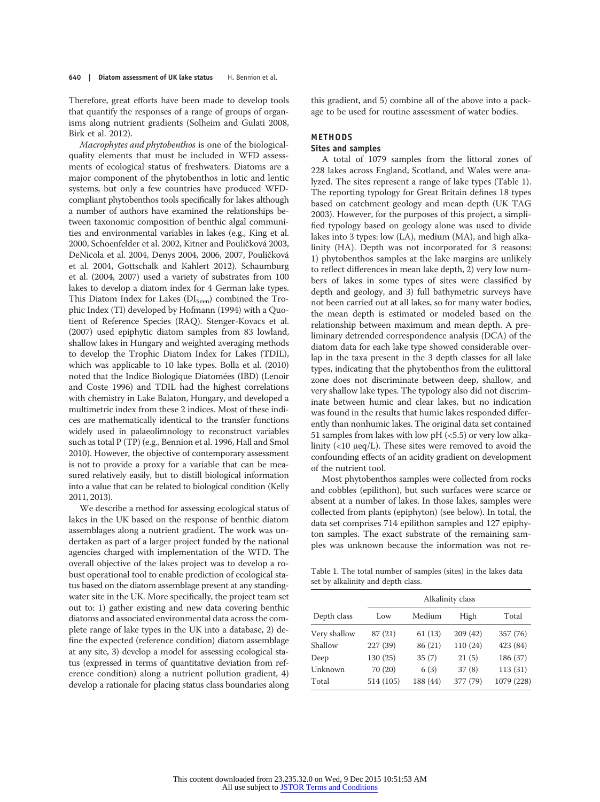Therefore, great efforts have been made to develop tools that quantify the responses of a range of groups of organisms along nutrient gradients (Solheim and Gulati 2008, Birk et al. 2012).

Macrophytes and phytobenthos is one of the biologicalquality elements that must be included in WFD assessments of ecological status of freshwaters. Diatoms are a major component of the phytobenthos in lotic and lentic systems, but only a few countries have produced WFDcompliant phytobenthos tools specifically for lakes although a number of authors have examined the relationships between taxonomic composition of benthic algal communities and environmental variables in lakes (e.g., King et al. 2000, Schoenfelder et al. 2002, Kitner and Pouličková 2003, DeNicola et al. 2004, Denys 2004, 2006, 2007, Pouličková et al. 2004, Gottschalk and Kahlert 2012). Schaumburg et al. (2004, 2007) used a variety of substrates from 100 lakes to develop a diatom index for 4 German lake types. This Diatom Index for Lakes ( $DI<sub>Seen</sub>$ ) combined the Trophic Index (TI) developed by Hofmann (1994) with a Quotient of Reference Species (RAQ). Stenger-Kovacs et al. (2007) used epiphytic diatom samples from 83 lowland, shallow lakes in Hungary and weighted averaging methods to develop the Trophic Diatom Index for Lakes (TDIL), which was applicable to 10 lake types. Bolla et al. (2010) noted that the Indice Biologique Diatomées (IBD) (Lenoir and Coste 1996) and TDIL had the highest correlations with chemistry in Lake Balaton, Hungary, and developed a multimetric index from these 2 indices. Most of these indices are mathematically identical to the transfer functions widely used in palaeolimnology to reconstruct variables such as total P (TP) (e.g., Bennion et al. 1996, Hall and Smol 2010). However, the objective of contemporary assessment is not to provide a proxy for a variable that can be measured relatively easily, but to distill biological information into a value that can be related to biological condition (Kelly 2011, 2013).

We describe a method for assessing ecological status of lakes in the UK based on the response of benthic diatom assemblages along a nutrient gradient. The work was undertaken as part of a larger project funded by the national agencies charged with implementation of the WFD. The overall objective of the lakes project was to develop a robust operational tool to enable prediction of ecological status based on the diatom assemblage present at any standingwater site in the UK. More specifically, the project team set out to: 1) gather existing and new data covering benthic diatoms and associated environmental data across the complete range of lake types in the UK into a database, 2) define the expected (reference condition) diatom assemblage at any site, 3) develop a model for assessing ecological status (expressed in terms of quantitative deviation from reference condition) along a nutrient pollution gradient, 4) develop a rationale for placing status class boundaries along this gradient, and 5) combine all of the above into a package to be used for routine assessment of water bodies.

## METHODS Sites and samples

A total of 1079 samples from the littoral zones of 228 lakes across England, Scotland, and Wales were analyzed. The sites represent a range of lake types (Table 1). The reporting typology for Great Britain defines 18 types based on catchment geology and mean depth (UK TAG 2003). However, for the purposes of this project, a simplified typology based on geology alone was used to divide lakes into 3 types: low (LA), medium (MA), and high alkalinity (HA). Depth was not incorporated for 3 reasons: 1) phytobenthos samples at the lake margins are unlikely to reflect differences in mean lake depth, 2) very low numbers of lakes in some types of sites were classified by depth and geology, and 3) full bathymetric surveys have not been carried out at all lakes, so for many water bodies, the mean depth is estimated or modeled based on the relationship between maximum and mean depth. A preliminary detrended correspondence analysis (DCA) of the diatom data for each lake type showed considerable overlap in the taxa present in the 3 depth classes for all lake types, indicating that the phytobenthos from the eulittoral zone does not discriminate between deep, shallow, and very shallow lake types. The typology also did not discriminate between humic and clear lakes, but no indication was found in the results that humic lakes responded differently than nonhumic lakes. The original data set contained 51 samples from lakes with low pH  $(<5.5$ ) or very low alkalinity (<10 μeq/L). These sites were removed to avoid the confounding effects of an acidity gradient on development of the nutrient tool.

Most phytobenthos samples were collected from rocks and cobbles (epilithon), but such surfaces were scarce or absent at a number of lakes. In those lakes, samples were collected from plants (epiphyton) (see below). In total, the data set comprises 714 epilithon samples and 127 epiphyton samples. The exact substrate of the remaining samples was unknown because the information was not re-

Table 1. The total number of samples (sites) in the lakes data set by alkalinity and depth class.

|              |           |          | Alkalinity class |            |
|--------------|-----------|----------|------------------|------------|
| Depth class  | Low       | Medium   | High             | Total      |
| Very shallow | 87 (21)   | 61(13)   | 209(42)          | 357 (76)   |
| Shallow      | 227 (39)  | 86 (21)  | 110 (24)         | 423 (84)   |
| Deep         | 130 (25)  | 35(7)    | 21(5)            | 186 (37)   |
| Unknown      | 70 (20)   | 6(3)     | 37(8)            | 113 (31)   |
| Total        | 514 (105) | 188 (44) | 377 (79)         | 1079 (228) |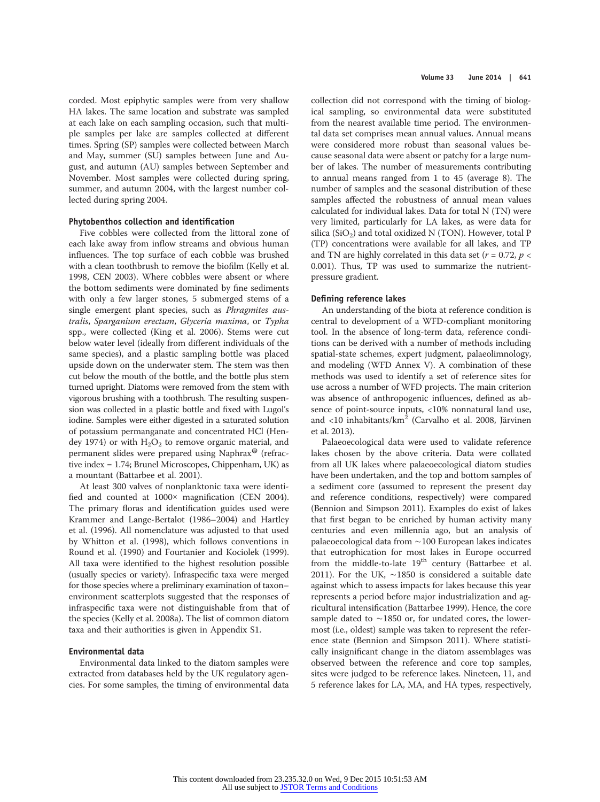corded. Most epiphytic samples were from very shallow HA lakes. The same location and substrate was sampled at each lake on each sampling occasion, such that multiple samples per lake are samples collected at different times. Spring (SP) samples were collected between March and May, summer (SU) samples between June and August, and autumn (AU) samples between September and November. Most samples were collected during spring, summer, and autumn 2004, with the largest number collected during spring 2004.

## Phytobenthos collection and identification

Five cobbles were collected from the littoral zone of each lake away from inflow streams and obvious human influences. The top surface of each cobble was brushed with a clean toothbrush to remove the biofilm (Kelly et al. 1998, CEN 2003). Where cobbles were absent or where the bottom sediments were dominated by fine sediments with only a few larger stones, 5 submerged stems of a single emergent plant species, such as *Phragmites aus*tralis, Sparganium erectum, Glyceria maxima, or Typha spp., were collected (King et al. 2006). Stems were cut below water level (ideally from different individuals of the same species), and a plastic sampling bottle was placed upside down on the underwater stem. The stem was then cut below the mouth of the bottle, and the bottle plus stem turned upright. Diatoms were removed from the stem with vigorous brushing with a toothbrush. The resulting suspension was collected in a plastic bottle and fixed with Lugol's iodine. Samples were either digested in a saturated solution of potassium permanganate and concentrated HCl (Hendey 1974) or with  $H_2O_2$  to remove organic material, and permanent slides were prepared using Naphrax® (refractive index = 1.74; Brunel Microscopes, Chippenham, UK) as a mountant (Battarbee et al. 2001).

At least 300 valves of nonplanktonic taxa were identified and counted at 1000× magnification (CEN 2004). The primary floras and identification guides used were Krammer and Lange-Bertalot (1986–2004) and Hartley et al. (1996). All nomenclature was adjusted to that used by Whitton et al. (1998), which follows conventions in Round et al. (1990) and Fourtanier and Kociolek (1999). All taxa were identified to the highest resolution possible (usually species or variety). Infraspecific taxa were merged for those species where a preliminary examination of taxon– environment scatterplots suggested that the responses of infraspecific taxa were not distinguishable from that of the species (Kelly et al. 2008a). The list of common diatom taxa and their authorities is given in Appendix S1.

#### Environmental data

Environmental data linked to the diatom samples were extracted from databases held by the UK regulatory agencies. For some samples, the timing of environmental data

collection did not correspond with the timing of biological sampling, so environmental data were substituted from the nearest available time period. The environmental data set comprises mean annual values. Annual means were considered more robust than seasonal values because seasonal data were absent or patchy for a large number of lakes. The number of measurements contributing to annual means ranged from 1 to 45 (average 8). The number of samples and the seasonal distribution of these samples affected the robustness of annual mean values calculated for individual lakes. Data for total N (TN) were very limited, particularly for LA lakes, as were data for silica (SiO<sub>2</sub>) and total oxidized N (TON). However, total P (TP) concentrations were available for all lakes, and TP and TN are highly correlated in this data set ( $r = 0.72$ ,  $p <$ 0.001). Thus, TP was used to summarize the nutrientpressure gradient.

#### Defining reference lakes

An understanding of the biota at reference condition is central to development of a WFD-compliant monitoring tool. In the absence of long-term data, reference conditions can be derived with a number of methods including spatial-state schemes, expert judgment, palaeolimnology, and modeling (WFD Annex V). A combination of these methods was used to identify a set of reference sites for use across a number of WFD projects. The main criterion was absence of anthropogenic influences, defined as absence of point-source inputs, <10% nonnatural land use, and <10 inhabitants/km<sup>2</sup> (Carvalho et al. 2008, Järvinen et al. 2013).

Palaeoecological data were used to validate reference lakes chosen by the above criteria. Data were collated from all UK lakes where palaeoecological diatom studies have been undertaken, and the top and bottom samples of a sediment core (assumed to represent the present day and reference conditions, respectively) were compared (Bennion and Simpson 2011). Examples do exist of lakes that first began to be enriched by human activity many centuries and even millennia ago, but an analysis of palaeoecological data from ∼100 European lakes indicates that eutrophication for most lakes in Europe occurred from the middle-to-late  $19^{th}$  century (Battarbee et al. 2011). For the UK, ∼1850 is considered a suitable date against which to assess impacts for lakes because this year represents a period before major industrialization and agricultural intensification (Battarbee 1999). Hence, the core sample dated to ∼1850 or, for undated cores, the lowermost (i.e., oldest) sample was taken to represent the reference state (Bennion and Simpson 2011). Where statistically insignificant change in the diatom assemblages was observed between the reference and core top samples, sites were judged to be reference lakes. Nineteen, 11, and 5 reference lakes for LA, MA, and HA types, respectively,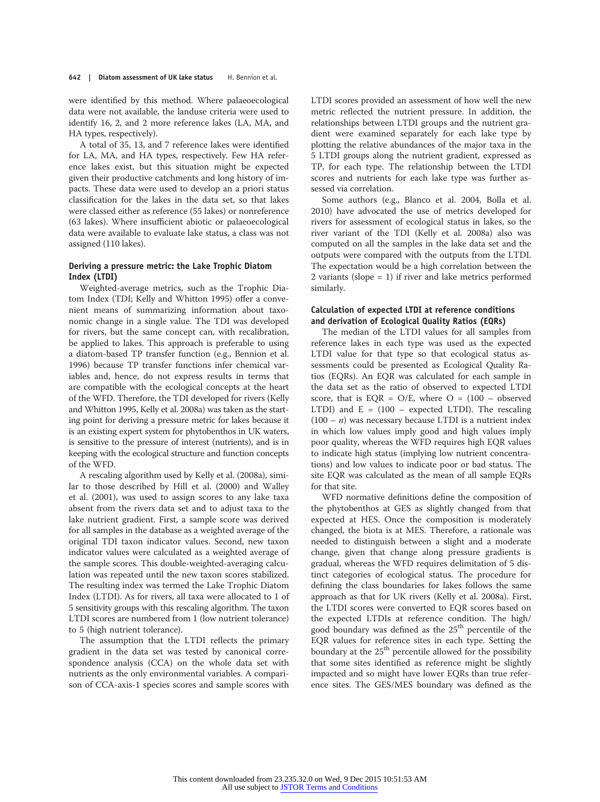were identified by this method. Where palaeoecological data were not available, the landuse criteria were used to identify 16, 2, and 2 more reference lakes (LA, MA, and HA types, respectively).

A total of 35, 13, and 7 reference lakes were identified for LA, MA, and HA types, respectively. Few HA reference lakes exist, but this situation might be expected given their productive catchments and long history of impacts. These data were used to develop an a priori status classification for the lakes in the data set, so that lakes were classed either as reference (55 lakes) or nonreference (63 lakes). Where insufficient abiotic or palaeoecological data were available to evaluate lake status, a class was not assigned (110 lakes).

## Deriving a pressure metric: the Lake Trophic Diatom Index (LTDI)

Weighted-average metrics, such as the Trophic Diatom Index (TDI; Kelly and Whitton 1995) offer a convenient means of summarizing information about taxonomic change in a single value. The TDI was developed for rivers, but the same concept can, with recalibration, be applied to lakes. This approach is preferable to using a diatom-based TP transfer function (e.g., Bennion et al. 1996) because TP transfer functions infer chemical variables and, hence, do not express results in terms that are compatible with the ecological concepts at the heart of the WFD. Therefore, the TDI developed for rivers (Kelly and Whitton 1995, Kelly et al. 2008a) was taken as the starting point for deriving a pressure metric for lakes because it is an existing expert system for phytobenthos in UK waters, is sensitive to the pressure of interest (nutrients), and is in keeping with the ecological structure and function concepts of the WFD.

A rescaling algorithm used by Kelly et al. (2008a), similar to those described by Hill et al. (2000) and Walley et al. (2001), was used to assign scores to any lake taxa absent from the rivers data set and to adjust taxa to the lake nutrient gradient. First, a sample score was derived for all samples in the database as a weighted average of the original TDI taxon indicator values. Second, new taxon indicator values were calculated as a weighted average of the sample scores. This double-weighted-averaging calculation was repeated until the new taxon scores stabilized. The resulting index was termed the Lake Trophic Diatom Index (LTDI). As for rivers, all taxa were allocated to 1 of 5 sensitivity groups with this rescaling algorithm. The taxon LTDI scores are numbered from 1 (low nutrient tolerance) to 5 (high nutrient tolerance).

The assumption that the LTDI reflects the primary gradient in the data set was tested by canonical correspondence analysis (CCA) on the whole data set with nutrients as the only environmental variables. A comparison of CCA-axis-1 species scores and sample scores with

LTDI scores provided an assessment of how well the new metric reflected the nutrient pressure. In addition, the relationships between LTDI groups and the nutrient gradient were examined separately for each lake type by plotting the relative abundances of the major taxa in the 5 LTDI groups along the nutrient gradient, expressed as TP, for each type. The relationship between the LTDI scores and nutrients for each lake type was further assessed via correlation.

Some authors (e.g., Blanco et al. 2004, Bolla et al. 2010) have advocated the use of metrics developed for rivers for assessment of ecological status in lakes, so the river variant of the TDI (Kelly et al. 2008a) also was computed on all the samples in the lake data set and the outputs were compared with the outputs from the LTDI. The expectation would be a high correlation between the 2 variants (slope = 1) if river and lake metrics performed similarly.

## Calculation of expected LTDI at reference conditions and derivation of Ecological Quality Ratios (EQRs)

The median of the LTDI values for all samples from reference lakes in each type was used as the expected LTDI value for that type so that ecological status assessments could be presented as Ecological Quality Ratios (EQRs). An EQR was calculated for each sample in the data set as the ratio of observed to expected LTDI score, that is EQR =  $O/E$ , where  $O = (100 - observed)$ LTDI) and  $E = (100 - expected LTDI)$ . The rescaling  $(100 - n)$  was necessary because LTDI is a nutrient index in which low values imply good and high values imply poor quality, whereas the WFD requires high EQR values to indicate high status (implying low nutrient concentrations) and low values to indicate poor or bad status. The site EQR was calculated as the mean of all sample EQRs for that site.

WFD normative definitions define the composition of the phytobenthos at GES as slightly changed from that expected at HES. Once the composition is moderately changed, the biota is at MES. Therefore, a rationale was needed to distinguish between a slight and a moderate change, given that change along pressure gradients is gradual, whereas the WFD requires delimitation of 5 distinct categories of ecological status. The procedure for defining the class boundaries for lakes follows the same approach as that for UK rivers (Kelly et al. 2008a). First, the LTDI scores were converted to EQR scores based on the expected LTDIs at reference condition. The high/ good boundary was defined as the 25<sup>th</sup> percentile of the EQR values for reference sites in each type. Setting the boundary at the  $25<sup>th</sup>$  percentile allowed for the possibility that some sites identified as reference might be slightly impacted and so might have lower EQRs than true reference sites. The GES/MES boundary was defined as the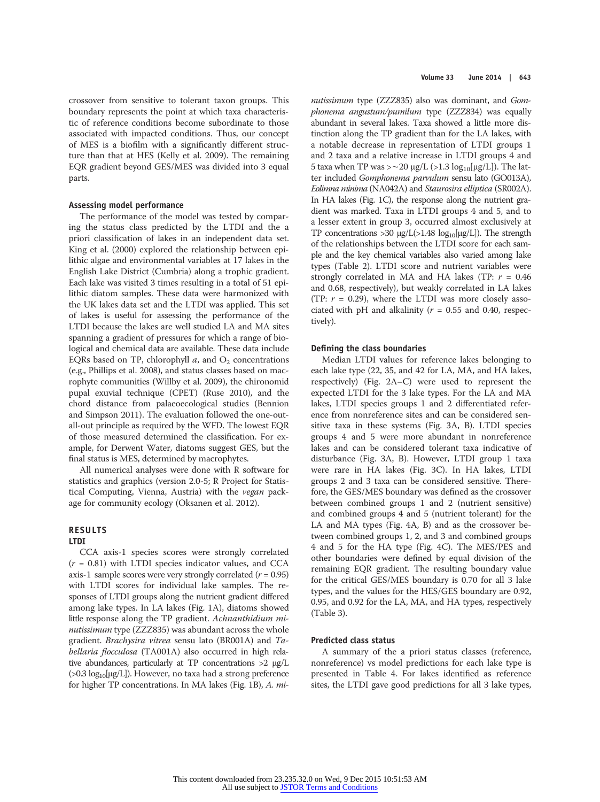crossover from sensitive to tolerant taxon groups. This boundary represents the point at which taxa characteristic of reference conditions become subordinate to those associated with impacted conditions. Thus, our concept of MES is a biofilm with a significantly different structure than that at HES (Kelly et al. 2009). The remaining EQR gradient beyond GES/MES was divided into 3 equal parts.

#### Assessing model performance

The performance of the model was tested by comparing the status class predicted by the LTDI and the a priori classification of lakes in an independent data set. King et al. (2000) explored the relationship between epilithic algae and environmental variables at 17 lakes in the English Lake District (Cumbria) along a trophic gradient. Each lake was visited 3 times resulting in a total of 51 epilithic diatom samples. These data were harmonized with the UK lakes data set and the LTDI was applied. This set of lakes is useful for assessing the performance of the LTDI because the lakes are well studied LA and MA sites spanning a gradient of pressures for which a range of biological and chemical data are available. These data include EQRs based on TP, chlorophyll  $a$ , and  $O_2$  concentrations (e.g., Phillips et al. 2008), and status classes based on macrophyte communities (Willby et al. 2009), the chironomid pupal exuvial technique (CPET) (Ruse 2010), and the chord distance from palaeoecological studies (Bennion and Simpson 2011). The evaluation followed the one-outall-out principle as required by the WFD. The lowest EQR of those measured determined the classification. For example, for Derwent Water, diatoms suggest GES, but the final status is MES, determined by macrophytes.

All numerical analyses were done with R software for statistics and graphics (version 2.0-5; R Project for Statistical Computing, Vienna, Austria) with the vegan package for community ecology (Oksanen et al. 2012).

#### RESULTS LTDI

CCA axis-1 species scores were strongly correlated  $(r = 0.81)$  with LTDI species indicator values, and CCA axis-1 sample scores were very strongly correlated  $(r = 0.95)$ with LTDI scores for individual lake samples. The responses of LTDI groups along the nutrient gradient differed among lake types. In LA lakes (Fig. 1A), diatoms showed little response along the TP gradient. Achnanthidium minutissimum type (ZZZ835) was abundant across the whole gradient. Brachysira vitrea sensu lato (BR001A) and Tabellaria flocculosa (TA001A) also occurred in high relative abundances, particularly at TP concentrations >2 μg/L  $(0.3 \log_{10}[\mu g/L])$ . However, no taxa had a strong preference for higher TP concentrations. In MA lakes (Fig. 1B), A. mi-

nutissimum type (ZZZ835) also was dominant, and Gomphonema angustum/pumilum type (ZZZ834) was equally abundant in several lakes. Taxa showed a little more distinction along the TP gradient than for the LA lakes, with a notable decrease in representation of LTDI groups 1 and 2 taxa and a relative increase in LTDI groups 4 and 5 taxa when TP was >∼20 μg/L (>1.3 log<sub>10</sub>[μg/L]). The latter included Gomphonema parvulum sensu lato (GO013A), Eolimna minima (NA042A) and Staurosira elliptica (SR002A). In HA lakes (Fig. 1C), the response along the nutrient gradient was marked. Taxa in LTDI groups 4 and 5, and to a lesser extent in group 3, occurred almost exclusively at TP concentrations >30  $\mu$ g/L(>1.48 log<sub>10</sub>[ $\mu$ g/L]). The strength of the relationships between the LTDI score for each sample and the key chemical variables also varied among lake types (Table 2). LTDI score and nutrient variables were strongly correlated in MA and HA lakes (TP:  $r = 0.46$ ) and 0.68, respectively), but weakly correlated in LA lakes (TP:  $r = 0.29$ ), where the LTDI was more closely associated with pH and alkalinity ( $r = 0.55$  and 0.40, respectively).

#### Defining the class boundaries

Median LTDI values for reference lakes belonging to each lake type (22, 35, and 42 for LA, MA, and HA lakes, respectively) (Fig. 2A–C) were used to represent the expected LTDI for the 3 lake types. For the LA and MA lakes, LTDI species groups 1 and 2 differentiated reference from nonreference sites and can be considered sensitive taxa in these systems (Fig. 3A, B). LTDI species groups 4 and 5 were more abundant in nonreference lakes and can be considered tolerant taxa indicative of disturbance (Fig. 3A, B). However, LTDI group 1 taxa were rare in HA lakes (Fig. 3C). In HA lakes, LTDI groups 2 and 3 taxa can be considered sensitive. Therefore, the GES/MES boundary was defined as the crossover between combined groups 1 and 2 (nutrient sensitive) and combined groups 4 and 5 (nutrient tolerant) for the LA and MA types (Fig. 4A, B) and as the crossover between combined groups 1, 2, and 3 and combined groups 4 and 5 for the HA type (Fig. 4C). The MES/PES and other boundaries were defined by equal division of the remaining EQR gradient. The resulting boundary value for the critical GES/MES boundary is 0.70 for all 3 lake types, and the values for the HES/GES boundary are 0.92, 0.95, and 0.92 for the LA, MA, and HA types, respectively (Table 3).

#### Predicted class status

A summary of the a priori status classes (reference, nonreference) vs model predictions for each lake type is presented in Table 4. For lakes identified as reference sites, the LTDI gave good predictions for all 3 lake types,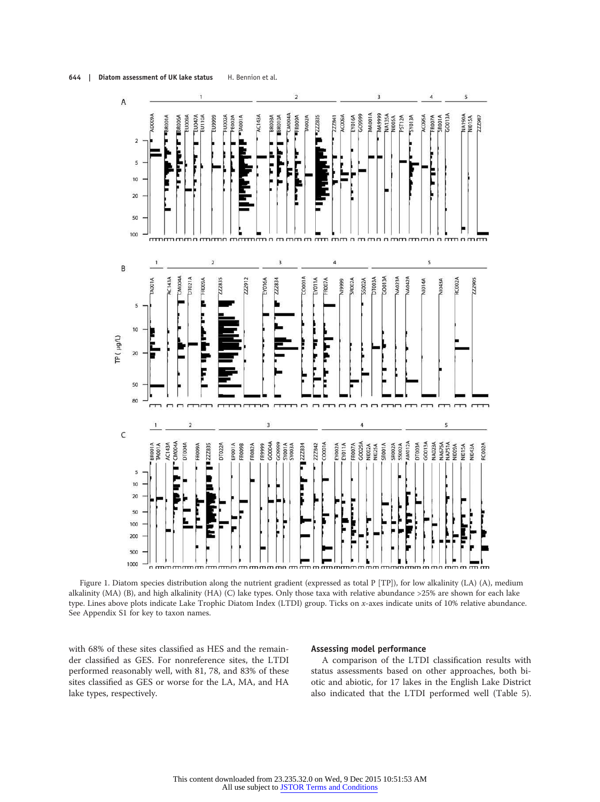



Figure 1. Diatom species distribution along the nutrient gradient (expressed as total P [TP]), for low alkalinity (LA) (A), medium alkalinity (MA) (B), and high alkalinity (HA) (C) lake types. Only those taxa with relative abundance >25% are shown for each lake type. Lines above plots indicate Lake Trophic Diatom Index (LTDI) group. Ticks on x-axes indicate units of 10% relative abundance. See Appendix S1 for key to taxon names.

with 68% of these sites classified as HES and the remainder classified as GES. For nonreference sites, the LTDI performed reasonably well, with 81, 78, and 83% of these sites classified as GES or worse for the LA, MA, and HA lake types, respectively.

#### Assessing model performance

A comparison of the LTDI classification results with status assessments based on other approaches, both biotic and abiotic, for 17 lakes in the English Lake District also indicated that the LTDI performed well (Table 5).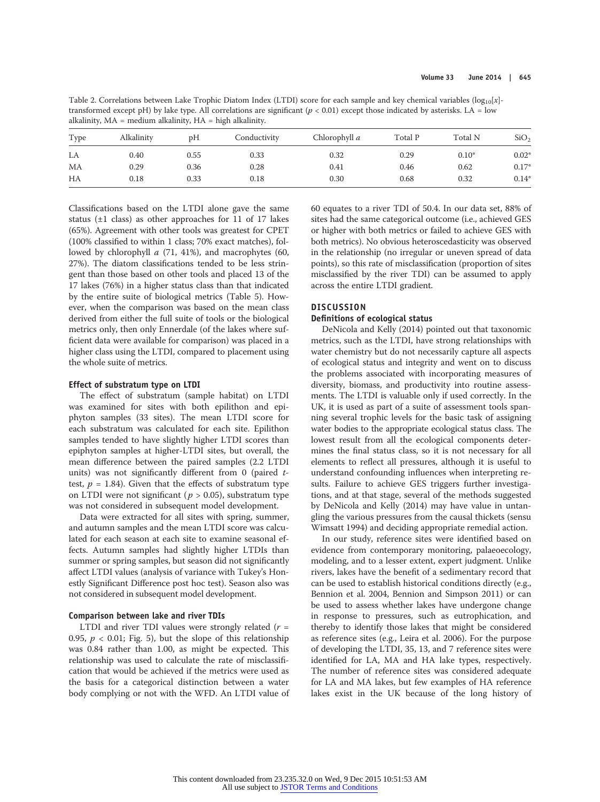Table 2. Correlations between Lake Trophic Diatom Index (LTDI) score for each sample and key chemical variables  $(log_{10}[x]$ transformed except pH) by lake type. All correlations are significant ( $p < 0.01$ ) except those indicated by asterisks. LA = low alkalinity, MA = medium alkalinity, HA = high alkalinity.

| Type | Alkalinity | pH   | Conductivity | Chlorophyll a | Total P | Total N | SiO <sub>2</sub> |
|------|------------|------|--------------|---------------|---------|---------|------------------|
| LA   | 0.40       | 0.55 | 0.33         | 0.32          | 0.29    | $0.10*$ | $0.02*$          |
| MA   | 0.29       | 0.36 | 0.28         | 0.41          | 0.46    | 0.62    | $0.17*$          |
| НA   | 0.18       | 0.33 | 0.18         | 0.30          | 0.68    | 0.32    | $0.14*$          |

Classifications based on the LTDI alone gave the same status (±1 class) as other approaches for 11 of 17 lakes (65%). Agreement with other tools was greatest for CPET (100% classified to within 1 class; 70% exact matches), followed by chlorophyll  $a$  (71, 41%), and macrophytes (60, 27%). The diatom classifications tended to be less stringent than those based on other tools and placed 13 of the 17 lakes (76%) in a higher status class than that indicated by the entire suite of biological metrics (Table 5). However, when the comparison was based on the mean class derived from either the full suite of tools or the biological metrics only, then only Ennerdale (of the lakes where sufficient data were available for comparison) was placed in a higher class using the LTDI, compared to placement using the whole suite of metrics.

#### Effect of substratum type on LTDI

The effect of substratum (sample habitat) on LTDI was examined for sites with both epilithon and epiphyton samples (33 sites). The mean LTDI score for each substratum was calculated for each site. Epilithon samples tended to have slightly higher LTDI scores than epiphyton samples at higher-LTDI sites, but overall, the mean difference between the paired samples (2.2 LTDI units) was not significantly different from 0 (paired ttest,  $p = 1.84$ ). Given that the effects of substratum type on LTDI were not significant ( $p > 0.05$ ), substratum type was not considered in subsequent model development.

Data were extracted for all sites with spring, summer, and autumn samples and the mean LTDI score was calculated for each season at each site to examine seasonal effects. Autumn samples had slightly higher LTDIs than summer or spring samples, but season did not significantly affect LTDI values (analysis of variance with Tukey's Honestly Significant Difference post hoc test). Season also was not considered in subsequent model development.

## Comparison between lake and river TDIs

LTDI and river TDI values were strongly related  $(r =$ 0.95,  $p < 0.01$ ; Fig. 5), but the slope of this relationship was 0.84 rather than 1.00, as might be expected. This relationship was used to calculate the rate of misclassification that would be achieved if the metrics were used as the basis for a categorical distinction between a water body complying or not with the WFD. An LTDI value of 60 equates to a river TDI of 50.4. In our data set, 88% of sites had the same categorical outcome (i.e., achieved GES or higher with both metrics or failed to achieve GES with both metrics). No obvious heteroscedasticity was observed in the relationship (no irregular or uneven spread of data points), so this rate of misclassification (proportion of sites misclassified by the river TDI) can be assumed to apply across the entire LTDI gradient.

## **DISCUSSION**

## Definitions of ecological status

DeNicola and Kelly (2014) pointed out that taxonomic metrics, such as the LTDI, have strong relationships with water chemistry but do not necessarily capture all aspects of ecological status and integrity and went on to discuss the problems associated with incorporating measures of diversity, biomass, and productivity into routine assessments. The LTDI is valuable only if used correctly. In the UK, it is used as part of a suite of assessment tools spanning several trophic levels for the basic task of assigning water bodies to the appropriate ecological status class. The lowest result from all the ecological components determines the final status class, so it is not necessary for all elements to reflect all pressures, although it is useful to understand confounding influences when interpreting results. Failure to achieve GES triggers further investigations, and at that stage, several of the methods suggested by DeNicola and Kelly (2014) may have value in untangling the various pressures from the causal thickets (sensu Wimsatt 1994) and deciding appropriate remedial action.

In our study, reference sites were identified based on evidence from contemporary monitoring, palaeoecology, modeling, and to a lesser extent, expert judgment. Unlike rivers, lakes have the benefit of a sedimentary record that can be used to establish historical conditions directly (e.g., Bennion et al. 2004, Bennion and Simpson 2011) or can be used to assess whether lakes have undergone change in response to pressures, such as eutrophication, and thereby to identify those lakes that might be considered as reference sites (e.g., Leira et al. 2006). For the purpose of developing the LTDI, 35, 13, and 7 reference sites were identified for LA, MA and HA lake types, respectively. The number of reference sites was considered adequate for LA and MA lakes, but few examples of HA reference lakes exist in the UK because of the long history of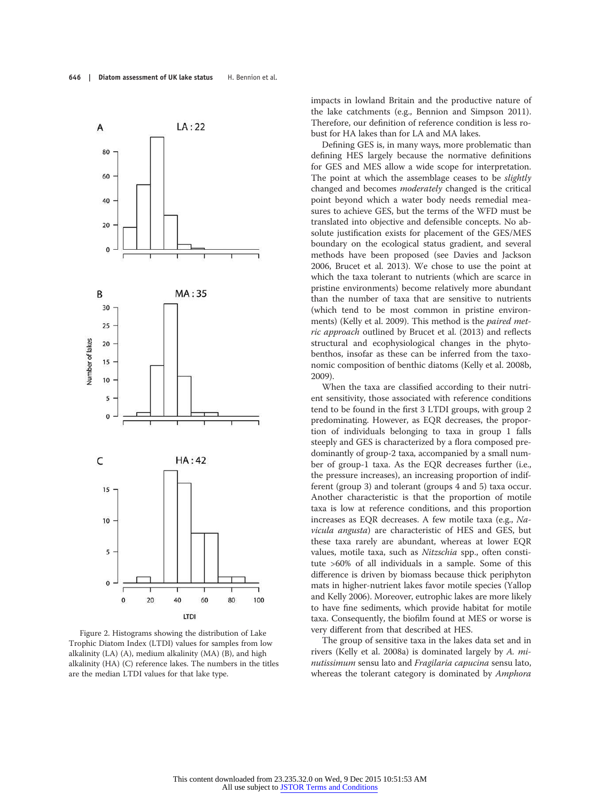

Figure 2. Histograms showing the distribution of Lake Trophic Diatom Index (LTDI) values for samples from low alkalinity (LA) (A), medium alkalinity (MA) (B), and high alkalinity (HA) (C) reference lakes. The numbers in the titles are the median LTDI values for that lake type.

impacts in lowland Britain and the productive nature of the lake catchments (e.g., Bennion and Simpson 2011). Therefore, our definition of reference condition is less robust for HA lakes than for LA and MA lakes.

Defining GES is, in many ways, more problematic than defining HES largely because the normative definitions for GES and MES allow a wide scope for interpretation. The point at which the assemblage ceases to be *slightly* changed and becomes moderately changed is the critical point beyond which a water body needs remedial measures to achieve GES, but the terms of the WFD must be translated into objective and defensible concepts. No absolute justification exists for placement of the GES/MES boundary on the ecological status gradient, and several methods have been proposed (see Davies and Jackson 2006, Brucet et al. 2013). We chose to use the point at which the taxa tolerant to nutrients (which are scarce in pristine environments) become relatively more abundant than the number of taxa that are sensitive to nutrients (which tend to be most common in pristine environments) (Kelly et al. 2009). This method is the paired metric approach outlined by Brucet et al. (2013) and reflects structural and ecophysiological changes in the phytobenthos, insofar as these can be inferred from the taxonomic composition of benthic diatoms (Kelly et al. 2008b, 2009).

When the taxa are classified according to their nutrient sensitivity, those associated with reference conditions tend to be found in the first 3 LTDI groups, with group 2 predominating. However, as EQR decreases, the proportion of individuals belonging to taxa in group 1 falls steeply and GES is characterized by a flora composed predominantly of group-2 taxa, accompanied by a small number of group-1 taxa. As the EQR decreases further (i.e., the pressure increases), an increasing proportion of indifferent (group 3) and tolerant (groups 4 and 5) taxa occur. Another characteristic is that the proportion of motile taxa is low at reference conditions, and this proportion increases as EQR decreases. A few motile taxa (e.g., Navicula angusta) are characteristic of HES and GES, but these taxa rarely are abundant, whereas at lower EQR values, motile taxa, such as Nitzschia spp., often constitute >60% of all individuals in a sample. Some of this difference is driven by biomass because thick periphyton mats in higher-nutrient lakes favor motile species (Yallop and Kelly 2006). Moreover, eutrophic lakes are more likely to have fine sediments, which provide habitat for motile taxa. Consequently, the biofilm found at MES or worse is very different from that described at HES.

The group of sensitive taxa in the lakes data set and in rivers (Kelly et al. 2008a) is dominated largely by A. minutissimum sensu lato and Fragilaria capucina sensu lato, whereas the tolerant category is dominated by Amphora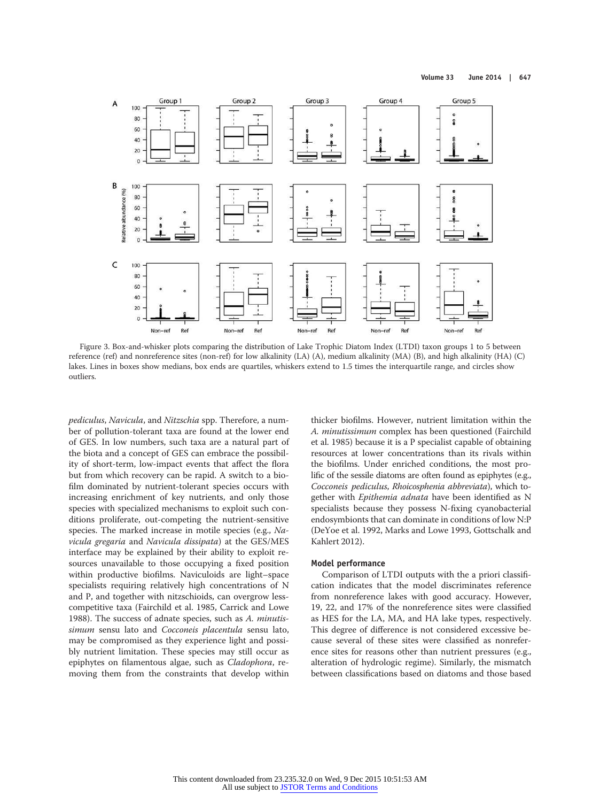

Figure 3. Box-and-whisker plots comparing the distribution of Lake Trophic Diatom Index (LTDI) taxon groups 1 to 5 between reference (ref) and nonreference sites (non-ref) for low alkalinity (LA) (A), medium alkalinity (MA) (B), and high alkalinity (HA) (C) lakes. Lines in boxes show medians, box ends are quartiles, whiskers extend to 1.5 times the interquartile range, and circles show outliers.

pediculus, Navicula, and Nitzschia spp. Therefore, a number of pollution-tolerant taxa are found at the lower end of GES. In low numbers, such taxa are a natural part of the biota and a concept of GES can embrace the possibility of short-term, low-impact events that affect the flora but from which recovery can be rapid. A switch to a biofilm dominated by nutrient-tolerant species occurs with increasing enrichment of key nutrients, and only those species with specialized mechanisms to exploit such conditions proliferate, out-competing the nutrient-sensitive species. The marked increase in motile species (e.g., Navicula gregaria and Navicula dissipata) at the GES/MES interface may be explained by their ability to exploit resources unavailable to those occupying a fixed position within productive biofilms. Naviculoids are light–space specialists requiring relatively high concentrations of N and P, and together with nitzschioids, can overgrow lesscompetitive taxa (Fairchild et al. 1985, Carrick and Lowe 1988). The success of adnate species, such as A. minutissimum sensu lato and Cocconeis placentula sensu lato, may be compromised as they experience light and possibly nutrient limitation. These species may still occur as epiphytes on filamentous algae, such as Cladophora, removing them from the constraints that develop within

thicker biofilms. However, nutrient limitation within the A. minutissimum complex has been questioned (Fairchild et al. 1985) because it is a P specialist capable of obtaining resources at lower concentrations than its rivals within the biofilms. Under enriched conditions, the most prolific of the sessile diatoms are often found as epiphytes (e.g., Cocconeis pediculus, Rhoicosphenia abbreviata), which together with Epithemia adnata have been identified as N specialists because they possess N-fixing cyanobacterial endosymbionts that can dominate in conditions of low N:P (DeYoe et al. 1992, Marks and Lowe 1993, Gottschalk and Kahlert 2012).

#### Model performance

Comparison of LTDI outputs with the a priori classification indicates that the model discriminates reference from nonreference lakes with good accuracy. However, 19, 22, and 17% of the nonreference sites were classified as HES for the LA, MA, and HA lake types, respectively. This degree of difference is not considered excessive because several of these sites were classified as nonreference sites for reasons other than nutrient pressures (e.g., alteration of hydrologic regime). Similarly, the mismatch between classifications based on diatoms and those based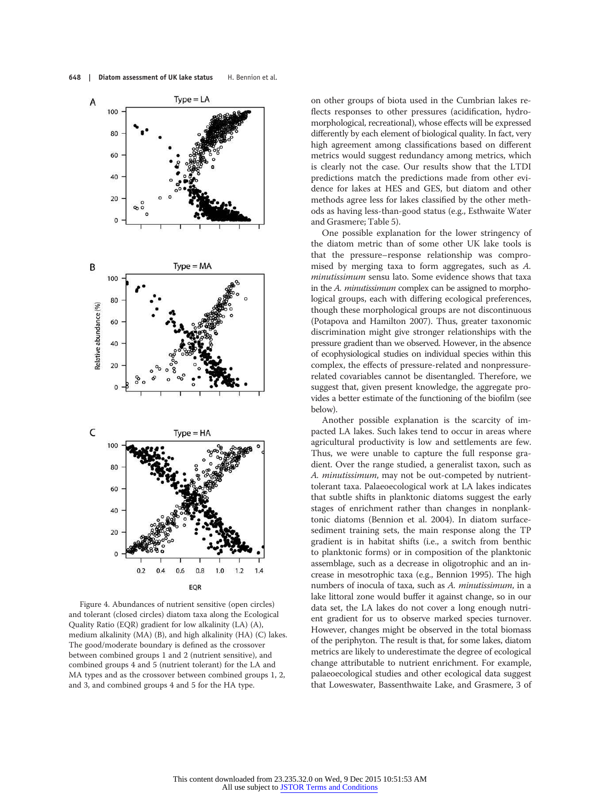

Figure 4. Abundances of nutrient sensitive (open circles) and tolerant (closed circles) diatom taxa along the Ecological Quality Ratio (EQR) gradient for low alkalinity (LA) (A), medium alkalinity (MA) (B), and high alkalinity (HA) (C) lakes. The good/moderate boundary is defined as the crossover between combined groups 1 and 2 (nutrient sensitive), and combined groups 4 and 5 (nutrient tolerant) for the LA and MA types and as the crossover between combined groups 1, 2, and 3, and combined groups 4 and 5 for the HA type.

on other groups of biota used in the Cumbrian lakes reflects responses to other pressures (acidification, hydromorphological, recreational), whose effects will be expressed differently by each element of biological quality. In fact, very high agreement among classifications based on different metrics would suggest redundancy among metrics, which is clearly not the case. Our results show that the LTDI predictions match the predictions made from other evidence for lakes at HES and GES, but diatom and other methods agree less for lakes classified by the other methods as having less-than-good status (e.g., Esthwaite Water and Grasmere; Table 5).

One possible explanation for the lower stringency of the diatom metric than of some other UK lake tools is that the pressure–response relationship was compromised by merging taxa to form aggregates, such as A. minutissimum sensu lato. Some evidence shows that taxa in the A. minutissimum complex can be assigned to morphological groups, each with differing ecological preferences, though these morphological groups are not discontinuous (Potapova and Hamilton 2007). Thus, greater taxonomic discrimination might give stronger relationships with the pressure gradient than we observed. However, in the absence of ecophysiological studies on individual species within this complex, the effects of pressure-related and nonpressurerelated covariables cannot be disentangled. Therefore, we suggest that, given present knowledge, the aggregate provides a better estimate of the functioning of the biofilm (see below).

Another possible explanation is the scarcity of impacted LA lakes. Such lakes tend to occur in areas where agricultural productivity is low and settlements are few. Thus, we were unable to capture the full response gradient. Over the range studied, a generalist taxon, such as A. minutissimum, may not be out-competed by nutrienttolerant taxa. Palaeoecological work at LA lakes indicates that subtle shifts in planktonic diatoms suggest the early stages of enrichment rather than changes in nonplanktonic diatoms (Bennion et al. 2004). In diatom surfacesediment training sets, the main response along the TP gradient is in habitat shifts (i.e., a switch from benthic to planktonic forms) or in composition of the planktonic assemblage, such as a decrease in oligotrophic and an increase in mesotrophic taxa (e.g., Bennion 1995). The high numbers of inocula of taxa, such as A. minutissimum, in a lake littoral zone would buffer it against change, so in our data set, the LA lakes do not cover a long enough nutrient gradient for us to observe marked species turnover. However, changes might be observed in the total biomass of the periphyton. The result is that, for some lakes, diatom metrics are likely to underestimate the degree of ecological change attributable to nutrient enrichment. For example, palaeoecological studies and other ecological data suggest that Loweswater, Bassenthwaite Lake, and Grasmere, 3 of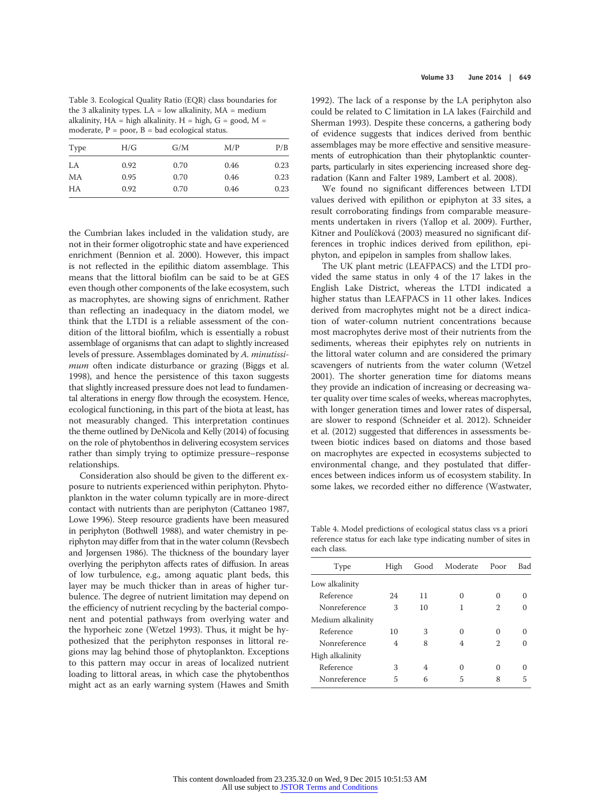Table 3. Ecological Quality Ratio (EQR) class boundaries for the 3 alkalinity types.  $LA = low$  alkalinity,  $MA = medium$ alkalinity,  $HA = high$  alkalinity.  $H = high$ ,  $G = good$ ,  $M =$ moderate,  $P = poor$ ,  $B = bad$  ecological status.

| Type | H/G  | G/M  | M/P  | P/B  |
|------|------|------|------|------|
| LA   | 0.92 | 0.70 | 0.46 | 0.23 |
| МA   | 0.95 | 0.70 | 0.46 | 0.23 |
| НA   | 0.92 | 0.70 | 0.46 | 0.23 |

the Cumbrian lakes included in the validation study, are not in their former oligotrophic state and have experienced enrichment (Bennion et al. 2000). However, this impact is not reflected in the epilithic diatom assemblage. This means that the littoral biofilm can be said to be at GES even though other components of the lake ecosystem, such as macrophytes, are showing signs of enrichment. Rather than reflecting an inadequacy in the diatom model, we think that the LTDI is a reliable assessment of the condition of the littoral biofilm, which is essentially a robust assemblage of organisms that can adapt to slightly increased levels of pressure. Assemblages dominated by A. minutissimum often indicate disturbance or grazing (Biggs et al. 1998), and hence the persistence of this taxon suggests that slightly increased pressure does not lead to fundamental alterations in energy flow through the ecosystem. Hence, ecological functioning, in this part of the biota at least, has not measurably changed. This interpretation continues the theme outlined by DeNicola and Kelly (2014) of focusing on the role of phytobenthos in delivering ecosystem services rather than simply trying to optimize pressure–response relationships.

Consideration also should be given to the different exposure to nutrients experienced within periphyton. Phytoplankton in the water column typically are in more-direct contact with nutrients than are periphyton (Cattaneo 1987, Lowe 1996). Steep resource gradients have been measured in periphyton (Bothwell 1988), and water chemistry in periphyton may differ from that in the water column (Revsbech and Jørgensen 1986). The thickness of the boundary layer overlying the periphyton affects rates of diffusion. In areas of low turbulence, e.g., among aquatic plant beds, this layer may be much thicker than in areas of higher turbulence. The degree of nutrient limitation may depend on the efficiency of nutrient recycling by the bacterial component and potential pathways from overlying water and the hyporheic zone (Wetzel 1993). Thus, it might be hypothesized that the periphyton responses in littoral regions may lag behind those of phytoplankton. Exceptions to this pattern may occur in areas of localized nutrient loading to littoral areas, in which case the phytobenthos might act as an early warning system (Hawes and Smith

1992). The lack of a response by the LA periphyton also could be related to C limitation in LA lakes (Fairchild and Sherman 1993). Despite these concerns, a gathering body of evidence suggests that indices derived from benthic assemblages may be more effective and sensitive measurements of eutrophication than their phytoplanktic counterparts, particularly in sites experiencing increased shore degradation (Kann and Falter 1989, Lambert et al. 2008).

We found no significant differences between LTDI values derived with epilithon or epiphyton at 33 sites, a result corroborating findings from comparable measurements undertaken in rivers (Yallop et al. 2009). Further, Kitner and Poulíčková (2003) measured no significant differences in trophic indices derived from epilithon, epiphyton, and epipelon in samples from shallow lakes.

The UK plant metric (LEAFPACS) and the LTDI provided the same status in only 4 of the 17 lakes in the English Lake District, whereas the LTDI indicated a higher status than LEAFPACS in 11 other lakes. Indices derived from macrophytes might not be a direct indication of water-column nutrient concentrations because most macrophytes derive most of their nutrients from the sediments, whereas their epiphytes rely on nutrients in the littoral water column and are considered the primary scavengers of nutrients from the water column (Wetzel 2001). The shorter generation time for diatoms means they provide an indication of increasing or decreasing water quality over time scales of weeks, whereas macrophytes, with longer generation times and lower rates of dispersal, are slower to respond (Schneider et al. 2012). Schneider et al. (2012) suggested that differences in assessments between biotic indices based on diatoms and those based on macrophytes are expected in ecosystems subjected to environmental change, and they postulated that differences between indices inform us of ecosystem stability. In some lakes, we recorded either no difference (Wastwater,

Table 4. Model predictions of ecological status class vs a priori reference status for each lake type indicating number of sites in each class.

| Type              | High | Good | Moderate | Poor | Bad      |
|-------------------|------|------|----------|------|----------|
| Low alkalinity    |      |      |          |      |          |
| Reference         | 24   | 11   |          | 0    | 0        |
| Nonreference      | 3    | 10   | 1        | 2    |          |
| Medium alkalinity |      |      |          |      |          |
| Reference         | 10   | 3    | 0        | 0    | 0        |
| Nonreference      | 4    | 8    | 4        | 2    |          |
| High alkalinity   |      |      |          |      |          |
| Reference         | 3    | 4    | 0        | 0    | $\Omega$ |
| Nonreference      | 5    | 6    | 5        | 8    | 5        |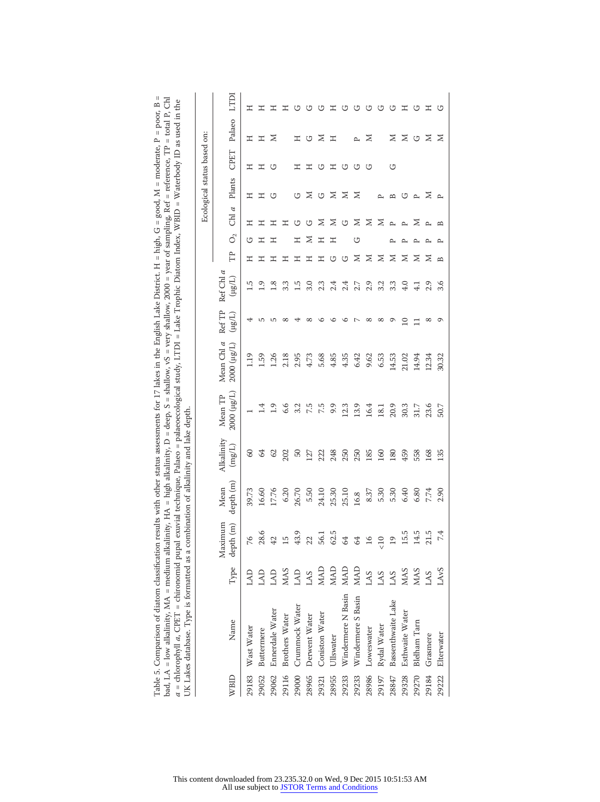| ith other status assessments for 17 lakes in the English Lake District. H = high, G = good, M = moderate, P = poor, B = | . = high alkalinity, D = deep, S = shallow, vS = very shallow, 2000 = year of sampling, Ref = reference, TP = total P, Chl | a = chlorophyll a, CPET = chironomid pupal exuvial technique, Palaeo = palaeoecological study, LTDI = Lake Trophic Diatom Index, WBID = Waterbody ID as used in the | t of alkalinity and lake depth.                       |
|-------------------------------------------------------------------------------------------------------------------------|----------------------------------------------------------------------------------------------------------------------------|---------------------------------------------------------------------------------------------------------------------------------------------------------------------|-------------------------------------------------------|
| Table 5. Comparison of diatom classification results wit.                                                               | bad, LA = low alkalinity, $MA$ = medium alkalinity, $HA$                                                                   |                                                                                                                                                                     | JK Lakes database. Type is formatted as a combination |

|       |                    |                  |                      |                   |                      |                                     |                            |                        |                           |                   |                |                   |              | Ecological status based on: |                    |      |
|-------|--------------------|------------------|----------------------|-------------------|----------------------|-------------------------------------|----------------------------|------------------------|---------------------------|-------------------|----------------|-------------------|--------------|-----------------------------|--------------------|------|
| WBID  | Name               | Type             | Maximum<br>depth (m) | depth (m)<br>Mean | Alkalinity<br>(mg/L) | (1/ <sup>81</sup> ) 2000<br>Mean TP | Mean Chl a<br>(lug/L) 2000 | Ref TP<br>$(L\beta H)$ | Ref Chl $a$<br>$(118\mu)$ | Ê                 | O <sub>2</sub> | Chl $a$           | Plants       | CPET                        | Palaeo             | LTDI |
| 29183 | Wast Water         | GNJ              | 76                   | 39.73             | $\infty$             |                                     | 1.19                       |                        | م.<br>1                   | 工                 | G              | エ                 | 工            | 工                           | 工                  | エ    |
| 29052 | Buttermere         | LAD              | 28.6                 | 09.91             | \$                   | $\frac{4}{11}$                      | 1.59                       | ص                      | $^{0.1}$                  | 工                 | 工              | エ                 | Ξ            | 工                           | $\boldsymbol{\Xi}$ | エ    |
| 29062 | Ennerdale Water    | $\mathsf{LAD}$   | $42\,$               | 17.76             | 62                   | 1.9                                 | 1.26                       | ص                      | $\frac{8}{1}$             | Ξ                 | エ              | Ξ                 | ↺            | ℧                           | ⋝                  | エ    |
| 29116 | Brothers Water     | <b>NIAS</b>      | 15                   | 6.20              | 202                  | 6.6                                 | 2.18                       | $\infty$               | 3.3                       | Ξ                 |                | エ                 |              |                             |                    | 工    |
| 29000 | Crummock Water     | LAD              | 43.9                 | 26.70             | 50                   | 3.2                                 | 2.95                       |                        | 1.5                       | 工                 | Ξ              | ↺                 | ↺            | Ξ                           | Ξ                  | ℧    |
| 28965 | Derwent Water      | LAS              | 22                   | 5.50              | 127                  | 7.5                                 | 4.73                       | $\infty$               | 3.0                       | 工                 | $\geq$         | ↺                 | Z            | 工                           | U                  | ↺    |
| 29321 | Coniston Water     | <b>MAD</b>       | 56.1                 | 24.10             | 222                  | 7.5                                 | 5.68                       | ७                      | 2.3                       | Ξ                 | Ξ              | ≍                 | U            | ↺                           | ≍                  | ↺    |
| 28955 | Ullswater          | <b>MAD</b>       | 62.5                 | 25.30             | 248                  | 9.9                                 | 4.85                       | ৩                      | 2.4                       | U                 | Ξ              | Z                 | $\geq$       | $\mathbb{H}$                | 工                  | エ    |
| 29233 | Windermere N Basin | <b>MAD</b>       | $\mathfrak{A}$       | 25.10             | 250                  | 12.3                                | 4.35                       | ৩                      | 2.4                       | ↺                 |                | U                 | $\geq$       | ↺                           |                    | ↺    |
| 29233 | Windermere S Basin | <b>MAD</b>       | $\mathcal{Q}$        | 16.8              | 250                  | 13.9                                | 6.42                       | $\sim$                 | 2.7                       | Σ                 | G              | z                 | Z            | ↺                           | $\sim$             | ↺    |
| 28986 | Loweswater         | LAS              | 16                   | 8.37              | 185                  | 16.4                                | 9.62                       | $^{\circ}$             | 2.9                       | Z                 |                | Σ                 |              | ↺                           | Σ                  | ↺    |
| 29197 | Rydal Water        | LAS              | $\leq 10$            | 5.30              | 160                  | 18.1                                | 6.53                       | $^{\circ}$             | 3.2                       | Σ                 |                | ⊠                 | $\sim$       |                             |                    | ↺    |
| 28847 | Bassenthwaite Lake | LAS              | 19                   | 5.30              | 180                  | 20.9                                | 14.53                      | Q                      | 3.3                       | Z                 | $\sim$         | $\sim$            | $\mathbf{r}$ | ↺                           | ⋝                  | ↺    |
| 29328 | Esthwaite Water    | <b>MAS</b>       | 15.5                 | 6.40              | 459                  | 30.3                                | 21.02                      | $\subseteq$            | $\ddot{q}$                | Z                 |                | $\sim$            | ℧            |                             | ⊠                  | エ    |
| 29270 | Blelham Tarn       | <b>MMS</b>       | 14.5                 | 6.80              | 558                  | 31.7                                | 14.94                      |                        |                           | z                 |                | ≳                 | $\sim$       |                             | ↺                  | ↺    |
| 29184 | Grasmere           | LAS              | 21.5                 | 7.74              | 168                  | 23.6                                | 12.34                      | $^{\circ}$             | 2.9                       | ⊠                 | $\sim$         | $\sim$            | ≳            |                             | $\geq$             | Ξ    |
| 29222 | Elterwater         | LAv <sub>S</sub> | 74                   | 2.90              | 135                  | 50.7                                | 30.32                      | Q                      | 3.6                       | $\mathbf{\Omega}$ |                | $\mathbf{\Omega}$ | $\sim$       |                             | $\geq$             | ↺    |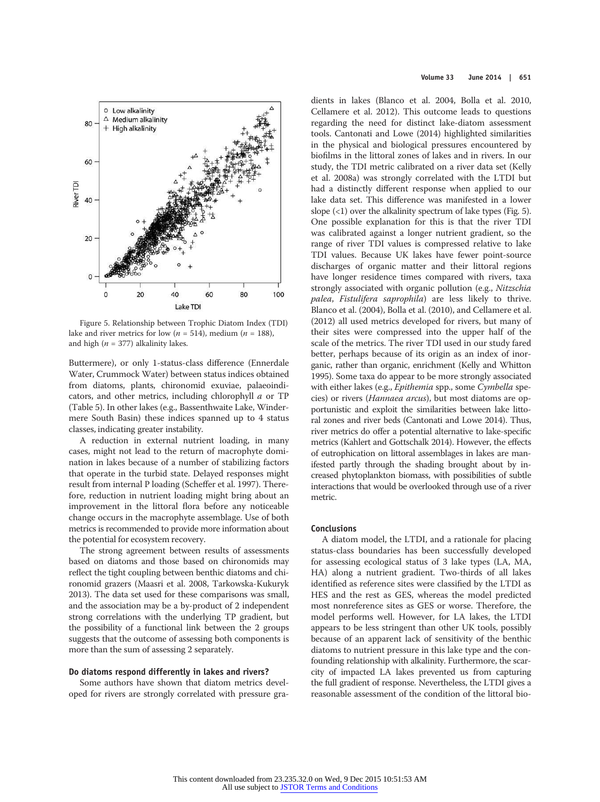

Figure 5. Relationship between Trophic Diatom Index (TDI) lake and river metrics for low ( $n = 514$ ), medium ( $n = 188$ ), and high ( $n = 377$ ) alkalinity lakes.

Buttermere), or only 1-status-class difference (Ennerdale Water, Crummock Water) between status indices obtained from diatoms, plants, chironomid exuviae, palaeoindicators, and other metrics, including chlorophyll a or TP (Table 5). In other lakes (e.g., Bassenthwaite Lake, Windermere South Basin) these indices spanned up to 4 status classes, indicating greater instability.

A reduction in external nutrient loading, in many cases, might not lead to the return of macrophyte domination in lakes because of a number of stabilizing factors that operate in the turbid state. Delayed responses might result from internal P loading (Scheffer et al. 1997). Therefore, reduction in nutrient loading might bring about an improvement in the littoral flora before any noticeable change occurs in the macrophyte assemblage. Use of both metrics is recommended to provide more information about the potential for ecosystem recovery.

The strong agreement between results of assessments based on diatoms and those based on chironomids may reflect the tight coupling between benthic diatoms and chironomid grazers (Maasri et al. 2008, Tarkowska-Kukuryk 2013). The data set used for these comparisons was small, and the association may be a by-product of 2 independent strong correlations with the underlying TP gradient, but the possibility of a functional link between the 2 groups suggests that the outcome of assessing both components is more than the sum of assessing 2 separately.

#### Do diatoms respond differently in lakes and rivers?

Some authors have shown that diatom metrics developed for rivers are strongly correlated with pressure gra-

dients in lakes (Blanco et al. 2004, Bolla et al. 2010, Cellamere et al. 2012). This outcome leads to questions regarding the need for distinct lake-diatom assessment tools. Cantonati and Lowe (2014) highlighted similarities in the physical and biological pressures encountered by biofilms in the littoral zones of lakes and in rivers. In our study, the TDI metric calibrated on a river data set (Kelly et al. 2008a) was strongly correlated with the LTDI but had a distinctly different response when applied to our lake data set. This difference was manifested in a lower slope  $($ 1) over the alkalinity spectrum of lake types (Fig. 5). One possible explanation for this is that the river TDI was calibrated against a longer nutrient gradient, so the range of river TDI values is compressed relative to lake TDI values. Because UK lakes have fewer point-source discharges of organic matter and their littoral regions have longer residence times compared with rivers, taxa strongly associated with organic pollution (e.g., Nitzschia palea, Fistulifera saprophila) are less likely to thrive. Blanco et al. (2004), Bolla et al. (2010), and Cellamere et al. (2012) all used metrics developed for rivers, but many of their sites were compressed into the upper half of the scale of the metrics. The river TDI used in our study fared better, perhaps because of its origin as an index of inorganic, rather than organic, enrichment (Kelly and Whitton 1995). Some taxa do appear to be more strongly associated with either lakes (e.g., Epithemia spp., some Cymbella species) or rivers (Hannaea arcus), but most diatoms are opportunistic and exploit the similarities between lake littoral zones and river beds (Cantonati and Lowe 2014). Thus, river metrics do offer a potential alternative to lake-specific metrics (Kahlert and Gottschalk 2014). However, the effects of eutrophication on littoral assemblages in lakes are manifested partly through the shading brought about by increased phytoplankton biomass, with possibilities of subtle interactions that would be overlooked through use of a river metric.

#### **Conclusions**

A diatom model, the LTDI, and a rationale for placing status-class boundaries has been successfully developed for assessing ecological status of 3 lake types (LA, MA, HA) along a nutrient gradient. Two-thirds of all lakes identified as reference sites were classified by the LTDI as HES and the rest as GES, whereas the model predicted most nonreference sites as GES or worse. Therefore, the model performs well. However, for LA lakes, the LTDI appears to be less stringent than other UK tools, possibly because of an apparent lack of sensitivity of the benthic diatoms to nutrient pressure in this lake type and the confounding relationship with alkalinity. Furthermore, the scarcity of impacted LA lakes prevented us from capturing the full gradient of response. Nevertheless, the LTDI gives a reasonable assessment of the condition of the littoral bio-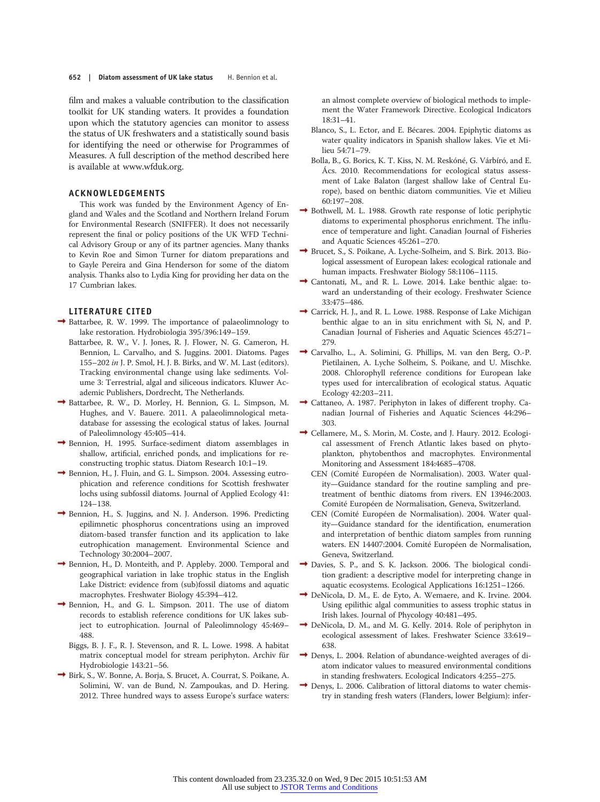#### 652 | Diatom assessment of UK lake status H. Bennion et al.

film and makes a valuable contribution to the classification toolkit for UK standing waters. It provides a foundation upon which the statutory agencies can monitor to assess the status of UK freshwaters and a statistically sound basis for identifying the need or otherwise for Programmes of Measures. A full description of the method described here is available at www.wfduk.org.

## ACKNOWLEDGEMENTS

This work was funded by the Environment Agency of England and Wales and the Scotland and Northern Ireland Forum for Environmental Research (SNIFFER). It does not necessarily represent the final or policy positions of the UK WFD Technical Advisory Group or any of its partner agencies. Many thanks to Kevin Roe and Simon Turner for diatom preparations and to Gayle Pereira and Gina Henderson for some of the diatom analysis. Thanks also to Lydia King for providing her data on the 17 Cumbrian lakes.

#### LITERATURE CITED

- Battarbee, R. W. 1999. The importance of palaeolimnology to lake restoration. Hydrobiologia 395/396:149–159.
	- Battarbee, R. W., V. J. Jones, R. J. Flower, N. G. Cameron, H. Bennion, L. Carvalho, and S. Juggins. 2001. Diatoms. Pages 155–202 in J. P. Smol, H. J. B. Birks, and W. M. Last (editors). Tracking environmental change using lake sediments. Volume 3: Terrestrial, algal and siliceous indicators. Kluwer Academic Publishers, Dordrecht, The Netherlands.
- Battarbee, R. W., D. Morley, H. Bennion, G. L. Simpson, M. Hughes, and V. Bauere. 2011. A palaeolimnological metadatabase for assessing the ecological status of lakes. Journal of Paleolimnology 45:405–414.
- Bennion, H. 1995. Surface-sediment diatom assemblages in shallow, artificial, enriched ponds, and implications for reconstructing trophic status. Diatom Research 10:1–19.
- Bennion, H., J. Fluin, and G. L. Simpson. 2004. Assessing eutrophication and reference conditions for Scottish freshwater lochs using subfossil diatoms. Journal of Applied Ecology 41: 124–138.
- Bennion, H., S. Juggins, and N. J. Anderson. 1996. Predicting epilimnetic phosphorus concentrations using an improved diatom-based transfer function and its application to lake eutrophication management. Environmental Science and Technology 30:2004–2007.
- Bennion, H., D. Monteith, and P. Appleby. 2000. Temporal and geographical variation in lake trophic status in the English Lake District: evidence from (sub)fossil diatoms and aquatic macrophytes. Freshwater Biology 45:394–412.
- Bennion, H., and G. L. Simpson. 2011. The use of diatom records to establish reference conditions for UK lakes subject to eutrophication. Journal of Paleolimnology 45:469– 488.
	- Biggs, B. J. F., R. J. Stevenson, and R. L. Lowe. 1998. A habitat matrix conceptual model for stream periphyton. Archiv für Hydrobiologie 143:21–56.
- Birk, S., W. Bonne, A. Borja, S. Brucet, A. Courrat, S. Poikane, A. Solimini, W. van de Bund, N. Zampoukas, and D. Hering. 2012. Three hundred ways to assess Europe's surface waters:

an almost complete overview of biological methods to implement the Water Framework Directive. Ecological Indicators 18:31–41.

- Blanco, S., L. Ector, and E. Bécares. 2004. Epiphytic diatoms as water quality indicators in Spanish shallow lakes. Vie et Milieu 54:71–79.
- Bolla, B., G. Borics, K. T. Kiss, N. M. Reskóné, G. Várbíró, and E. Ács. 2010. Recommendations for ecological status assessment of Lake Balaton (largest shallow lake of Central Europe), based on benthic diatom communities. Vie et Milieu 60:197–208.
- $\rightarrow$  Bothwell, M. L. 1988. Growth rate response of lotic periphytic diatoms to experimental phosphorus enrichment. The influence of temperature and light. Canadian Journal of Fisheries and Aquatic Sciences 45:261–270.
- Brucet, S., S. Poikane, A. Lyche-Solheim, and S. Birk. 2013. Biological assessment of European lakes: ecological rationale and human impacts. Freshwater Biology 58:1106–1115.
- $\rightarrow$  Cantonati, M., and R. L. Lowe. 2014. Lake benthic algae: toward an understanding of their ecology. Freshwater Science 33:475–486.
- Carrick, H. J., and R. L. Lowe. 1988. Response of Lake Michigan benthic algae to an in situ enrichment with Si, N, and P. Canadian Journal of Fisheries and Aquatic Sciences 45:271– 279.
- Carvalho, L., A. Solimini, G. Phillips, M. van den Berg, O.-P. Pietilainen, A. Lyche Solheim, S. Poikane, and U. Mischke. 2008. Chlorophyll reference conditions for European lake types used for intercalibration of ecological status. Aquatic Ecology 42:203–211.
- Cattaneo, A. 1987. Periphyton in lakes of different trophy. Canadian Journal of Fisheries and Aquatic Sciences 44:296– 303.
- $\rightarrow$  Cellamere, M., S. Morin, M. Coste, and J. Haury. 2012. Ecological assessment of French Atlantic lakes based on phytoplankton, phytobenthos and macrophytes. Environmental Monitoring and Assessment 184:4685–4708.
	- CEN (Comité Européen de Normalisation). 2003. Water quality—Guidance standard for the routine sampling and pretreatment of benthic diatoms from rivers. EN 13946:2003. Comité Européen de Normalisation, Geneva, Switzerland.
	- CEN (Comité Européen de Normalisation). 2004. Water quality—Guidance standard for the identification, enumeration and interpretation of benthic diatom samples from running waters. EN 14407:2004. Comité Européen de Normalisation, Geneva, Switzerland.
- Davies, S. P., and S. K. Jackson. 2006. The biological condition gradient: a descriptive model for interpreting change in aquatic ecosystems. Ecological Applications 16:1251–1266.
- → DeNicola, D. M., E. de Eyto, A. Wemaere, and K. Irvine. 2004. Using epilithic algal communities to assess trophic status in Irish lakes. Journal of Phycology 40:481–495.
- DeNicola, D. M., and M. G. Kelly. 2014. Role of periphyton in ecological assessment of lakes. Freshwater Science 33:619– 638.
- → Denys, L. 2004. Relation of abundance-weighted averages of diatom indicator values to measured environmental conditions in standing freshwaters. Ecological Indicators 4:255–275.
- Denys, L. 2006. Calibration of littoral diatoms to water chemistry in standing fresh waters (Flanders, lower Belgium): infer-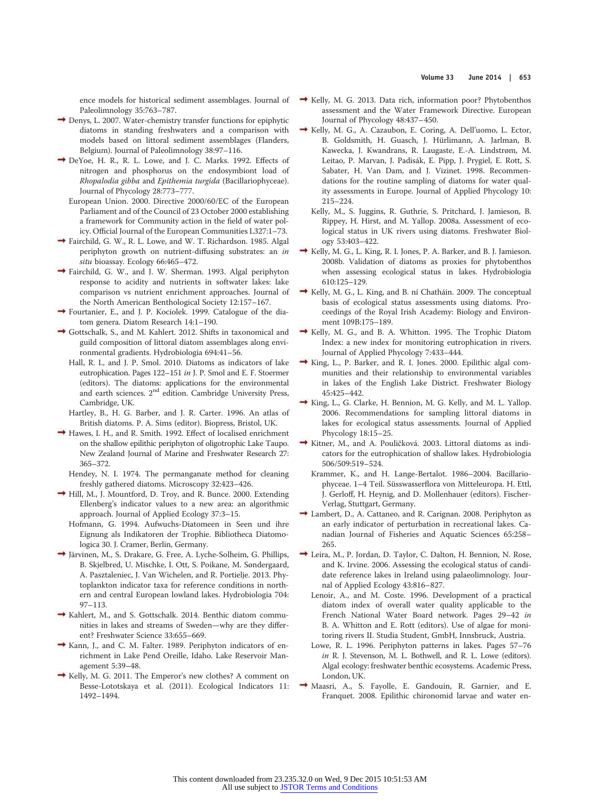ence models for historical sediment assemblages. Journal of Paleolimnology 35:763–787.

- $\rightarrow$  Denys, L. 2007. Water-chemistry transfer functions for epiphytic diatoms in standing freshwaters and a comparison with models based on littoral sediment assemblages (Flanders, Belgium). Journal of Paleolimnology 38:97–116.
- DeYoe, H. R., R. L. Lowe, and J. C. Marks. 1992. Effects of nitrogen and phosphorus on the endosymbiont load of Rhopalodia gibba and Epithemia turgida (Bacillariophyceae). Journal of Phycology 28:773–777.
	- European Union. 2000. Directive 2000/60/EC of the European Parliament and of the Council of 23 October 2000 establishing a framework for Community action in the field of water policy. Official Journal of the European Communities L327:1–73.
- Fairchild, G. W., R. L. Lowe, and W. T. Richardson. 1985. Algal periphyton growth on nutrient-diffusing substrates: an in situ bioassay. Ecology 66:465-472.
- Fairchild, G. W., and J. W. Sherman. 1993. Algal periphyton response to acidity and nutrients in softwater lakes: lake comparison vs nutrient enrichment approaches. Journal of the North American Benthological Society 12:157–167.
- Fourtanier, E., and J. P. Kociolek. 1999. Catalogue of the diatom genera. Diatom Research 14:1–190.
- Gottschalk, S., and M. Kahlert. 2012. Shifts in taxonomical and guild composition of littoral diatom assemblages along environmental gradients. Hydrobiologia 694:41–56.
	- Hall, R. I., and J. P. Smol. 2010. Diatoms as indicators of lake eutrophication. Pages 122–151 in J. P. Smol and E. F. Stoermer (editors). The diatoms: applications for the environmental and earth sciences. 2nd edition. Cambridge University Press, Cambridge, UK.
	- Hartley, B., H. G. Barber, and J. R. Carter. 1996. An atlas of British diatoms. P. A. Sims (editor). Biopress, Bristol, UK.
- Hawes, I. H., and R. Smith. 1992. Effect of localised enrichment on the shallow epilithic periphyton of oligotrophic Lake Taupo. New Zealand Journal of Marine and Freshwater Research 27: 365–372.
	- Hendey, N. I. 1974. The permanganate method for cleaning freshly gathered diatoms. Microscopy 32:423–426.
- Hill, M., J. Mountford, D. Troy, and R. Bunce. 2000. Extending Ellenberg's indicator values to a new area: an algorithmic approach. Journal of Applied Ecology 37:3–15.
	- Hofmann, G. 1994. Aufwuchs-Diatomeen in Seen und ihre Eignung als Indikatoren der Trophie. Bibliotheca Diatomologica 30. J. Cramer, Berlin, Germany.
- Järvinen, M., S. Drakare, G. Free, A. Lyche-Solheim, G. Phillips, B. Skjelbred, U. Mischke, I. Ott, S. Poikane, M. Søndergaard, A. Pasztaleniec, J. Van Wichelen, and R. Portielje. 2013. Phytoplankton indicator taxa for reference conditions in northern and central European lowland lakes. Hydrobiologia 704: 97–113.
- $\rightarrow$  Kahlert, M., and S. Gottschalk. 2014. Benthic diatom communities in lakes and streams of Sweden—why are they different? Freshwater Science 33:655–669.
- Kann, J., and C. M. Falter. 1989. Periphyton indicators of enrichment in Lake Pend Oreille, Idaho. Lake Reservoir Management 5:39–48.
- Kelly, M. G. 2011. The Emperor's new clothes? A comment on Besse-Lototskaya et al. (2011). Ecological Indicators 11: 1492–1494.
- $\rightarrow$  Kelly, M. G. 2013. Data rich, information poor? Phytobenthos assessment and the Water Framework Directive. European Journal of Phycology 48:437–450.
- Kelly, M. G., A. Cazaubon, E. Coring, A. Dell'uomo, L. Ector, B. Goldsmith, H. Guasch, J. Hürlimann, A. Jarlman, B. Kawecka, J. Kwandrans, R. Laugaste, E.-A. Lindstrøm, M. Leitao, P. Marvan, J. Padisák, E. Pipp, J. Prygiel, E. Rott, S. Sabater, H. Van Dam, and J. Vizinet. 1998. Recommendations for the routine sampling of diatoms for water quality assessments in Europe. Journal of Applied Phycology 10: 215–224.
	- Kelly, M., S. Juggins, R. Guthrie, S. Pritchard, J. Jamieson, B. Rippey, H. Hirst, and M. Yallop. 2008a. Assessment of ecological status in UK rivers using diatoms. Freshwater Biology 53:403–422.
- $\rightarrow$  Kelly, M. G., L. King, R. I. Jones, P. A. Barker, and B. J. Jamieson. 2008b. Validation of diatoms as proxies for phytobenthos when assessing ecological status in lakes. Hydrobiologia 610:125–129.
- $\rightarrow$  Kelly, M. G., L. King, and B. ní Chatháin. 2009. The conceptual basis of ecological status assessments using diatoms. Proceedings of the Royal Irish Academy: Biology and Environment 109B:175–189.
- $\rightarrow$  Kelly, M. G., and B. A. Whitton. 1995. The Trophic Diatom Index: a new index for monitoring eutrophication in rivers. Journal of Applied Phycology 7:433–444.
- $\rightarrow$  King, L., P. Barker, and R. I. Jones. 2000. Epilithic algal communities and their relationship to environmental variables in lakes of the English Lake District. Freshwater Biology 45:425–442.
- King, L., G. Clarke, H. Bennion, M. G. Kelly, and M. L. Yallop. 2006. Recommendations for sampling littoral diatoms in lakes for ecological status assessments. Journal of Applied Phycology 18:15–25.
- Kitner, M., and A. Pouličková. 2003. Littoral diatoms as indicators for the eutrophication of shallow lakes. Hydrobiologia 506/509:519–524.
	- Krammer, K., and H. Lange-Bertalot. 1986–2004. Bacillariophyceae. 1–4 Teil. Süsswasserflora von Mitteleuropa. H. Ettl, J. Gerloff, H. Heynig, and D. Mollenhauer (editors). Fischer-Verlag, Stuttgart, Germany.
- Lambert, D., A. Cattaneo, and R. Carignan. 2008. Periphyton as an early indicator of perturbation in recreational lakes. Canadian Journal of Fisheries and Aquatic Sciences 65:258– 265.
- Leira, M., P. Jordan, D. Taylor, C. Dalton, H. Bennion, N. Rose, and K. Irvine. 2006. Assessing the ecological status of candidate reference lakes in Ireland using palaeolimnology. Journal of Applied Ecology 43:816–827.
	- Lenoir, A., and M. Coste. 1996. Development of a practical diatom index of overall water quality applicable to the French National Water Board network. Pages 29–42 in B. A. Whitton and E. Rott (editors). Use of algae for monitoring rivers II. Studia Student, GmbH, Innsbruck, Austria.
	- Lowe, R. L. 1996. Periphyton patterns in lakes. Pages 57–76 in R. J. Stevenson, M. L. Bothwell, and R. L. Lowe (editors). Algal ecology: freshwater benthic ecosystems. Academic Press, London, UK.
- Maasri, A., S. Fayolle, E. Gandouin, R. Garnier, and E. Franquet. 2008. Epilithic chironomid larvae and water en-